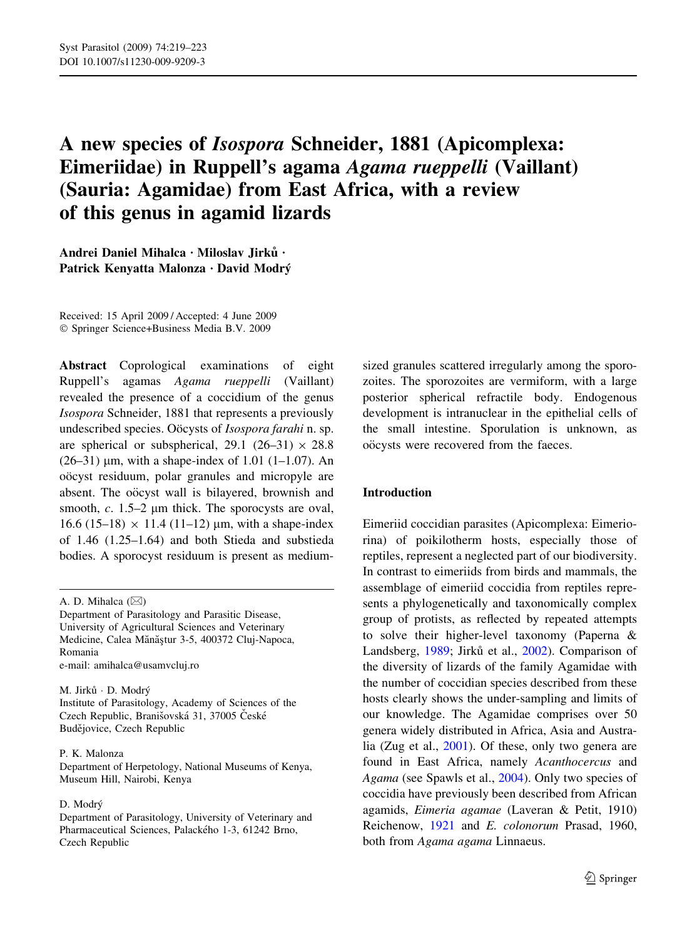# A new species of Isospora Schneider, 1881 (Apicomplexa: Eimeriidae) in Ruppell's agama Agama rueppelli (Vaillant) (Sauria: Agamidae) from East Africa, with a review of this genus in agamid lizards

Andrei Daniel Mihalca · Miloslav Jirků · Patrick Kenyatta Malonza · David Modrý

Received: 15 April 2009 / Accepted: 4 June 2009 Springer Science+Business Media B.V. 2009

Abstract Coprological examinations of eight Ruppell's agamas Agama rueppelli (Vaillant) revealed the presence of a coccidium of the genus Isospora Schneider, 1881 that represents a previously undescribed species. Oöcysts of Isospora farahi n. sp. are spherical or subspherical, 29.1 (26–31)  $\times$  28.8 (26–31)  $\mu$ m, with a shape-index of 1.01 (1–1.07). An oöcyst residuum, polar granules and micropyle are absent. The oöcyst wall is bilayered, brownish and smooth,  $c$ . 1.5–2  $\mu$ m thick. The sporocysts are oval, 16.6 (15–18)  $\times$  11.4 (11–12) µm, with a shape-index of 1.46 (1.25–1.64) and both Stieda and substieda bodies. A sporocyst residuum is present as medium-

M. Jirků · D. Modrý Institute of Parasitology, Academy of Sciences of the Czech Republic, Branišovská 31, 37005 České Budějovice, Czech Republic

#### P. K. Malonza

Department of Herpetology, National Museums of Kenya, Museum Hill, Nairobi, Kenya

#### D. Modrý

Department of Parasitology, University of Veterinary and Pharmaceutical Sciences, Palackého 1-3, 61242 Brno, Czech Republic

sized granules scattered irregularly among the sporozoites. The sporozoites are vermiform, with a large posterior spherical refractile body. Endogenous development is intranuclear in the epithelial cells of the small intestine. Sporulation is unknown, as oöcysts were recovered from the faeces.

### Introduction

Eimeriid coccidian parasites (Apicomplexa: Eimeriorina) of poikilotherm hosts, especially those of reptiles, represent a neglected part of our biodiversity. In contrast to eimeriids from birds and mammals, the assemblage of eimeriid coccidia from reptiles represents a phylogenetically and taxonomically complex group of protists, as reflected by repeated attempts to solve their higher-level taxonomy (Paperna & Landsberg, [1989](#page-4-0); Jirků et al., [2002](#page-4-0)). Comparison of the diversity of lizards of the family Agamidae with the number of coccidian species described from these hosts clearly shows the under-sampling and limits of our knowledge. The Agamidae comprises over 50 genera widely distributed in Africa, Asia and Australia (Zug et al., [2001\)](#page-4-0). Of these, only two genera are found in East Africa, namely Acanthocercus and Agama (see Spawls et al., [2004](#page-4-0)). Only two species of coccidia have previously been described from African agamids, Eimeria agamae (Laveran & Petit, 1910) Reichenow, [1921](#page-4-0) and E. colonorum Prasad, 1960, both from Agama agama Linnaeus.

A. D. Mihalca  $(\boxtimes)$ 

Department of Parasitology and Parasitic Disease, University of Agricultural Sciences and Veterinary Medicine, Calea Mănăștur 3-5, 400372 Cluj-Napoca, Romania e-mail: amihalca@usamvcluj.ro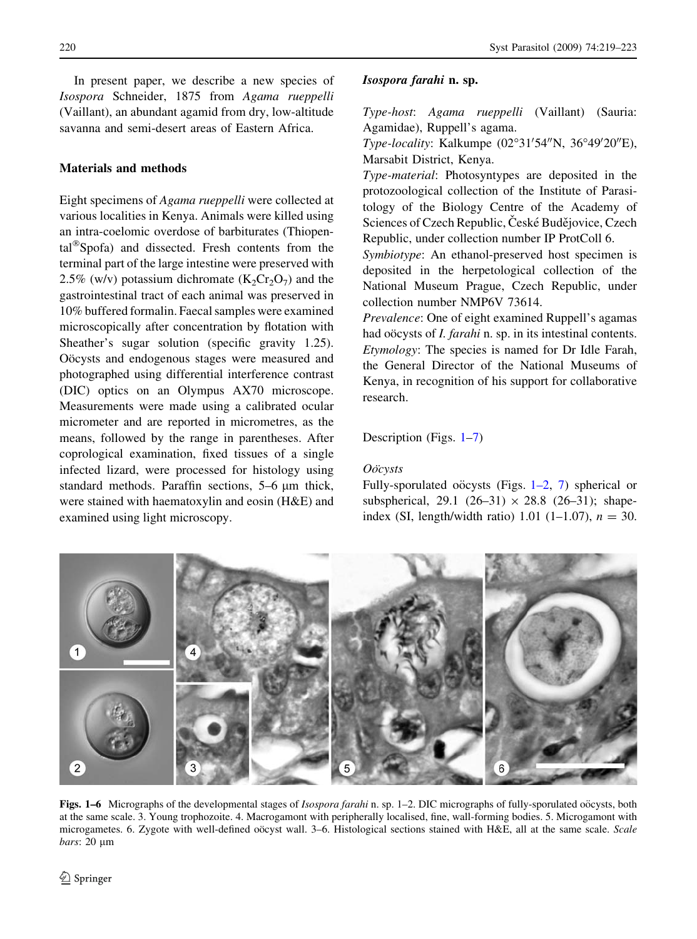<span id="page-1-0"></span>Isospora Schneider, 1875 from Agama rueppelli (Vaillant), an abundant agamid from dry, low-altitude savanna and semi-desert areas of Eastern Africa.

# Materials and methods

Eight specimens of Agama rueppelli were collected at various localities in Kenya. Animals were killed using an intra-coelomic overdose of barbiturates (Thiopental<sup>®</sup>Spofa) and dissected. Fresh contents from the terminal part of the large intestine were preserved with 2.5% (w/v) potassium dichromate  $(K_2Cr_2O_7)$  and the gastrointestinal tract of each animal was preserved in 10% buffered formalin. Faecal samples were examined microscopically after concentration by flotation with Sheather's sugar solution (specific gravity 1.25). Oöcysts and endogenous stages were measured and photographed using differential interference contrast (DIC) optics on an Olympus AX70 microscope. Measurements were made using a calibrated ocular micrometer and are reported in micrometres, as the means, followed by the range in parentheses. After coprological examination, fixed tissues of a single infected lizard, were processed for histology using standard methods. Paraffin sections,  $5-6 \mu m$  thick, were stained with haematoxylin and eosin (H&E) and examined using light microscopy.

# Isospora farahi n. sp.

Type-host: Agama rueppelli (Vaillant) (Sauria: Agamidae), Ruppell's agama.

Type-locality: Kalkumpe (02°31'54"N, 36°49'20"E), Marsabit District, Kenya.

Type-material: Photosyntypes are deposited in the protozoological collection of the Institute of Parasitology of the Biology Centre of the Academy of Sciences of Czech Republic, České Budějovice, Czech Republic, under collection number IP ProtColl 6.

Symbiotype: An ethanol-preserved host specimen is deposited in the herpetological collection of the National Museum Prague, Czech Republic, under collection number NMP6V 73614.

Prevalence: One of eight examined Ruppell's agamas had oo cysts of *I. farahi* n. sp. in its intestinal contents. Etymology: The species is named for Dr Idle Farah, the General Director of the National Museums of Kenya, in recognition of his support for collaborative research.

Description (Figs. 1[–7](#page-2-0))

# O<sub>O</sub>cysts

Fully-sporulated oo cysts (Figs.  $1-2$ , [7](#page-2-0)) spherical or subspherical, 29.1 (26–31)  $\times$  28.8 (26–31); shapeindex (SI, length/width ratio) 1.01 (1–1.07),  $n = 30$ .



Figs. 1–6 Micrographs of the developmental stages of *Isospora farahi* n. sp. 1–2. DIC micrographs of fully-sporulated oöcysts, both at the same scale. 3. Young trophozoite. 4. Macrogamont with peripherally localised, fine, wall-forming bodies. 5. Microgamont with microgametes. 6. Zygote with well-defined oöcyst wall. 3–6. Histological sections stained with H&E, all at the same scale. Scale  $bars: 20 \mu m$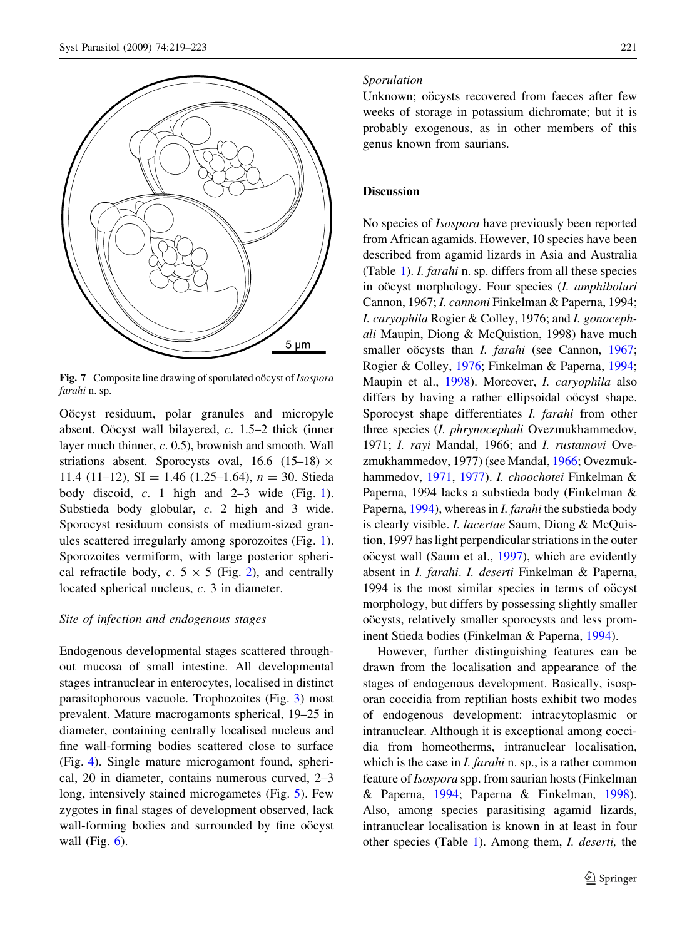<span id="page-2-0"></span>

Fig. 7 Composite line drawing of sporulated oocyst of Isospora farahi n. sp.

Oöcyst residuum, polar granules and micropyle absent. Oöcyst wall bilayered,  $c$ . 1.5–2 thick (inner layer much thinner, c. 0.5), brownish and smooth. Wall striations absent. Sporocysts oval, 16.6 (15–18)  $\times$ 11.4 (11-12), SI = 1.46 (1.25-1.64),  $n = 30$ . Stieda body discoid,  $c$ . [1](#page-1-0) high and  $2-3$  wide (Fig. 1). Substieda body globular, c. 2 high and 3 wide. Sporocyst residuum consists of medium-sized granules scattered irregularly among sporozoites (Fig. [1](#page-1-0)). Sporozoites vermiform, with large posterior spherical refractile body, c.  $5 \times 5$  (Fig. [2\)](#page-1-0), and centrally located spherical nucleus, c. 3 in diameter.

#### Site of infection and endogenous stages

Endogenous developmental stages scattered throughout mucosa of small intestine. All developmental stages intranuclear in enterocytes, localised in distinct parasitophorous vacuole. Trophozoites (Fig. [3\)](#page-1-0) most prevalent. Mature macrogamonts spherical, 19–25 in diameter, containing centrally localised nucleus and fine wall-forming bodies scattered close to surface (Fig. [4](#page-1-0)). Single mature microgamont found, spherical, 20 in diameter, contains numerous curved, 2–3 long, intensively stained microgametes (Fig. [5](#page-1-0)). Few zygotes in final stages of development observed, lack wall-forming bodies and surrounded by fine oo cyst wall (Fig.  $6$ ).

#### Sporulation

Unknown; oöcysts recovered from faeces after few weeks of storage in potassium dichromate; but it is probably exogenous, as in other members of this genus known from saurians.

# **Discussion**

No species of Isospora have previously been reported from African agamids. However, 10 species have been described from agamid lizards in Asia and Australia (Table [1](#page-3-0)). I. farahi n. sp. differs from all these species in oöcyst morphology. Four species (I. amphiboluri Cannon, 1967; I. cannoni Finkelman & Paperna, 1994; I. caryophila Rogier & Colley, 1976; and I. gonocephali Maupin, Diong & McQuistion, 1998) have much smaller oo cysts than *I. farahi* (see Cannon, [1967](#page-4-0); Rogier & Colley, [1976;](#page-4-0) Finkelman & Paperna, [1994](#page-4-0); Maupin et al., [1998](#page-4-0)). Moreover, I. caryophila also differs by having a rather ellipsoidal oo cyst shape. Sporocyst shape differentiates I. farahi from other three species (I. phrynocephali Ovezmukhammedov, 1971; I. rayi Mandal, 1966; and I. rustamovi Ovezmukhammedov, 1977) (see Mandal, [1966;](#page-4-0) Ovezmukhammedov, [1971](#page-4-0), [1977\)](#page-4-0). I. choochotei Finkelman & Paperna, 1994 lacks a substieda body (Finkelman & Paperna, [1994](#page-4-0)), whereas in I. farahi the substieda body is clearly visible. *I. lacertae* Saum, Diong & McQuistion, 1997 has light perpendicular striations in the outer oöcyst wall (Saum et al., [1997\)](#page-4-0), which are evidently absent in I. farahi. I. deserti Finkelman & Paperna, 1994 is the most similar species in terms of oo cyst morphology, but differs by possessing slightly smaller oöcysts, relatively smaller sporocysts and less prominent Stieda bodies (Finkelman & Paperna, [1994](#page-4-0)).

However, further distinguishing features can be drawn from the localisation and appearance of the stages of endogenous development. Basically, isosporan coccidia from reptilian hosts exhibit two modes of endogenous development: intracytoplasmic or intranuclear. Although it is exceptional among coccidia from homeotherms, intranuclear localisation, which is the case in *I. farahi* n. sp., is a rather common feature of Isospora spp. from saurian hosts (Finkelman & Paperna, [1994](#page-4-0); Paperna & Finkelman, [1998](#page-4-0)). Also, among species parasitising agamid lizards, intranuclear localisation is known in at least in four other species (Table [1](#page-3-0)). Among them, I. deserti, the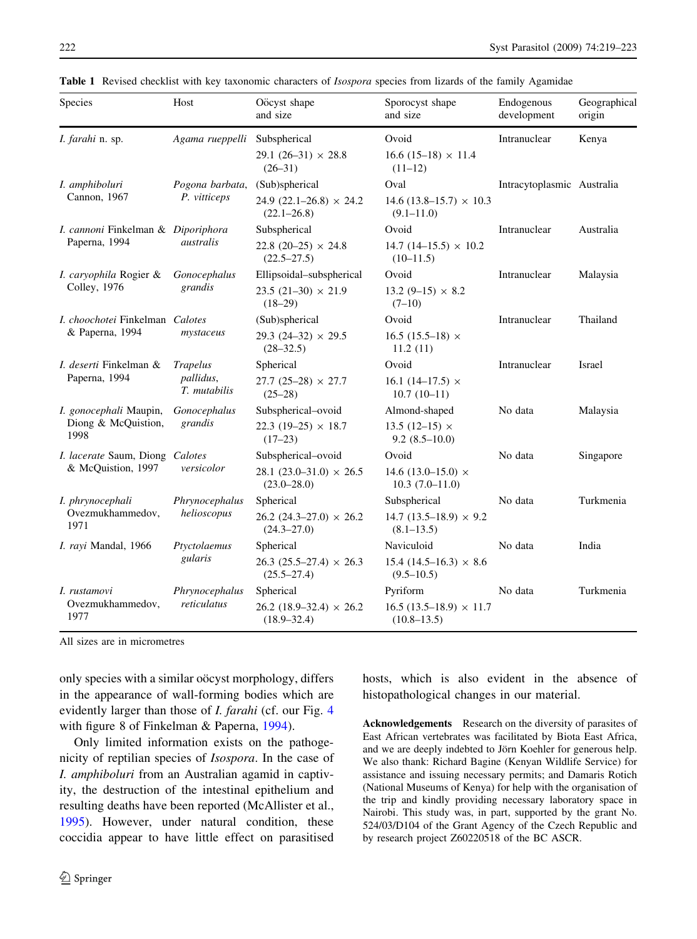| Species                                               | Host                                         | Oöcyst shape<br>and size                            | Sporocyst shape<br>and size                      | Endogenous<br>development  | Geographical<br>origin |
|-------------------------------------------------------|----------------------------------------------|-----------------------------------------------------|--------------------------------------------------|----------------------------|------------------------|
| I. farahi n. sp.                                      | Agama rueppelli                              | Subspherical                                        | Ovoid                                            | Intranuclear               | Kenya                  |
|                                                       |                                              | 29.1 $(26-31) \times 28.8$<br>$(26-31)$             | $16.6(15-18) \times 11.4$<br>$(11-12)$           |                            |                        |
| I. amphiboluri<br>Cannon, 1967                        | Pogona barbata,<br>P. vitticeps              | (Sub)spherical                                      | Oval                                             | Intracytoplasmic Australia |                        |
|                                                       |                                              | 24.9 $(22.1-26.8) \times 24.2$<br>$(22.1 - 26.8)$   | $14.6(13.8-15.7) \times 10.3$<br>$(9.1 - 11.0)$  |                            |                        |
| I. cannoni Finkelman & Diporiphora<br>Paperna, 1994   | australis                                    | Subspherical                                        | Ovoid                                            | Intranuclear               | Australia              |
|                                                       |                                              | 22.8 $(20-25) \times 24.8$<br>$(22.5 - 27.5)$       | $14.7(14-15.5) \times 10.2$<br>$(10-11.5)$       |                            |                        |
| I. caryophila Rogier &<br>Colley, 1976                | Gonocephalus<br>grandis                      | Ellipsoidal-subspherical                            | Ovoid                                            | Intranuclear               | Malaysia               |
|                                                       |                                              | $23.5(21-30) \times 21.9$<br>$(18-29)$              | $13.2(9-15) \times 8.2$<br>$(7-10)$              |                            |                        |
| I. choochotei Finkelman Calotes<br>& Paperna, 1994    | mystaceus                                    | (Sub)spherical                                      | Ovoid                                            | Intranuclear               | Thailand               |
|                                                       |                                              | $29.3(24-32) \times 29.5$<br>$(28-32.5)$            | 16.5 $(15.5-18)$ ×<br>11.2(11)                   |                            |                        |
| I. deserti Finkelman &<br>Paperna, 1994               | <b>Trapelus</b><br>pallidus,<br>T. mutabilis | Spherical                                           | Ovoid                                            | Intranuclear               | Israel                 |
|                                                       |                                              | $27.7(25-28) \times 27.7$<br>$(25-28)$              | 16.1 $(14-17.5) \times$<br>$10.7(10-11)$         |                            |                        |
| I. gonocephali Maupin,<br>Diong & McQuistion,<br>1998 | Gonocephalus<br>grandis                      | Subspherical-ovoid                                  | Almond-shaped                                    | No data                    | Malaysia               |
|                                                       |                                              | 22.3 (19-25) $\times$ 18.7<br>$(17-23)$             | 13.5 $(12-15) \times$<br>$9.2(8.5-10.0)$         |                            |                        |
| I. lacerate Saum, Diong Calotes<br>& McQuistion, 1997 | versicolor                                   | Subspherical-ovoid                                  | Ovoid                                            | No data                    | Singapore              |
|                                                       |                                              | $28.1(23.0-31.0) \times 26.5$<br>$(23.0 - 28.0)$    | 14.6 $(13.0 - 15.0) \times$<br>$10.3(7.0-11.0)$  |                            |                        |
| I. phrynocephali<br>Ovezmukhammedov,<br>1971          | Phrynocephalus<br>helioscopus                | Spherical                                           | Subspherical                                     | No data                    | Turkmenia              |
|                                                       |                                              | $26.2(24.3-27.0) \times 26.2$<br>$(24.3 - 27.0)$    | 14.7 $(13.5-18.9) \times 9.2$<br>$(8.1 - 13.5)$  |                            |                        |
| I. rayi Mandal, 1966                                  | Ptyctolaemus<br>gularis                      | Spherical                                           | Naviculoid                                       | No data                    | India                  |
|                                                       |                                              | $26.3 (25.5 - 27.4) \times 26.3$<br>$(25.5 - 27.4)$ | $15.4(14.5–16.3) \times 8.6$<br>$(9.5 - 10.5)$   |                            |                        |
| I. rustamovi<br>Ovezmukhammedov,<br>1977              | Phrynocephalus<br>reticulatus                | Spherical                                           | Pyriform                                         | No data                    | Turkmenia              |
|                                                       |                                              | $26.2$ (18.9–32.4) $\times$ 26.2<br>$(18.9 - 32.4)$ | $16.5(13.5-18.9) \times 11.7$<br>$(10.8 - 13.5)$ |                            |                        |

<span id="page-3-0"></span>Table 1 Revised checklist with key taxonomic characters of *Isospora* species from lizards of the family Agamidae

All sizes are in micrometres

only species with a similar oocyst morphology, differs in the appearance of wall-forming bodies which are evidently larger than those of *I. farahi* (cf. our Fig. [4](#page-1-0)) with figure 8 of Finkelman & Paperna, [1994\)](#page-4-0).

Only limited information exists on the pathogenicity of reptilian species of Isospora. In the case of I. amphiboluri from an Australian agamid in captivity, the destruction of the intestinal epithelium and resulting deaths have been reported (McAllister et al., [1995\)](#page-4-0). However, under natural condition, these coccidia appear to have little effect on parasitised hosts, which is also evident in the absence of histopathological changes in our material.

Acknowledgements Research on the diversity of parasites of East African vertebrates was facilitated by Biota East Africa, and we are deeply indebted to Jörn Koehler for generous help. We also thank: Richard Bagine (Kenyan Wildlife Service) for assistance and issuing necessary permits; and Damaris Rotich (National Museums of Kenya) for help with the organisation of the trip and kindly providing necessary laboratory space in Nairobi. This study was, in part, supported by the grant No. 524/03/D104 of the Grant Agency of the Czech Republic and by research project Z60220518 of the BC ASCR.